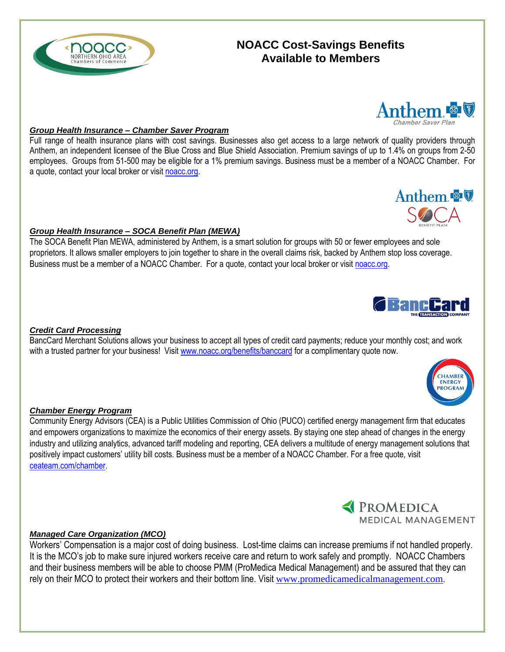# **NOACC Cost-Savings Benefits Available to Members**



Full range of health insurance plans with cost savings. Businesses also get access to a large network of quality providers through Anthem, an independent licensee of the Blue Cross and Blue Shield Association. Premium savings of up to 1.4% on groups from 2-50 employees. Groups from 51-500 may be eligible for a 1% premium savings. Business must be a member of a NOACC Chamber. For a quote, contact your local broker or visi[t noacc.org.](noacc.org)

#### *Group Health Insurance – SOCA Benefit Plan (MEWA)*

The SOCA Benefit Plan MEWA, administered by Anthem, is a smart solution for groups with 50 or fewer employees and sole proprietors. It allows smaller employers to join together to share in the overall claims risk, backed by Anthem stop loss coverage. Business must be a member of a NOACC Chamber. For a quote, contact your local broker or visi[t noacc.org.](noacc.org)

#### *Credit Card Processing*

BancCard Merchant Solutions allows your business to accept all types of credit card payments; reduce your monthly cost; and work with a trusted partner for your business! Visit [www.noacc.org/benefits/banccard](http://www.noacc.org/benefits/banccard) for a complimentary quote now.

#### *Chamber Energy Program*

Community Energy Advisors (CEA) is a Public Utilities Commission of Ohio (PUCO) certified energy management firm that educates and empowers organizations to maximize the economics of their energy assets. By staying one step ahead of changes in the energy industry and utilizing analytics, advanced tariff modeling and reporting, CEA delivers a multitude of energy management solutions that positively impact customers' utility bill costs. Business must be a member of a NOACC Chamber. For a free quote, visit [ceateam.com/chamber.](http://www.ceateam.com/chamber)

#### *Managed Care Organization (MCO)*

Workers' Compensation is a major cost of doing business. Lost-time claims can increase premiums if not handled properly. It is the MCO's job to make sure injured workers receive care and return to work safely and promptly. NOACC Chambers and their business members will be able to choose PMM (ProMedica Medical Management) and be assured that they can rely on their MCO to protect their workers and their bottom line. Visit [www.promedicamedicalmanagement.com](http://www.promedicamedicalmanagement.com/).







*C* **BancCa** 

Anthem &